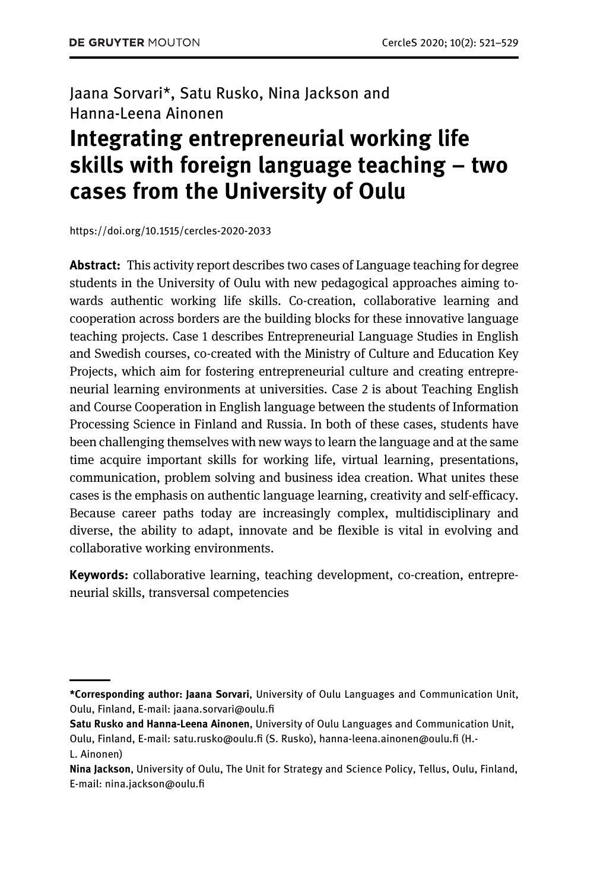### Jaana Sorvari\*, Satu Rusko, Nina Jackson and Hanna-Leena Ainonen

# Integrating entrepreneurial working life skills with foreign language teaching – two cases from the University of Oulu

<https://doi.org/10.1515/cercles-2020-2033>

**Abstract:** This activity report describes two cases of Language teaching for degree students in the University of Oulu with new pedagogical approaches aiming towards authentic working life skills. Co-creation, collaborative learning and cooperation across borders are the building blocks for these innovative language teaching projects. Case 1 describes Entrepreneurial Language Studies in English and Swedish courses, co-created with the Ministry of Culture and Education Key Projects, which aim for fostering entrepreneurial culture and creating entrepreneurial learning environments at universities. Case 2 is about Teaching English and Course Cooperation in English language between the students of Information Processing Science in Finland and Russia. In both of these cases, students have been challenging themselves with new ways to learn the language and at the same time acquire important skills for working life, virtual learning, presentations, communication, problem solving and business idea creation. What unites these cases is the emphasis on authentic language learning, creativity and self-efficacy. Because career paths today are increasingly complex, multidisciplinary and diverse, the ability to adapt, innovate and be flexible is vital in evolving and collaborative working environments.

Keywords: collaborative learning, teaching development, co-creation, entrepreneurial skills, transversal competencies

<sup>\*</sup>Corresponding author: Jaana Sorvari, University of Oulu Languages and Communication Unit, Oulu, Finland, E-mail: [jaana.sorvari@oulu.](mailto:jaana.sorvari@oulu.fi)fi

Satu Rusko and Hanna-Leena Ainonen, University of Oulu Languages and Communication Unit, Oulu, Finland, E-mail: [satu.rusko@oulu.](mailto:satu.rusko@oulu.fi)fi (S. Rusko), [hanna-leena.ainonen@oulu.](mailto:hanna-leena.ainonen@oulu.fi)fi (H.-

L. Ainonen)

Nina Jackson, University of Oulu, The Unit for Strategy and Science Policy, Tellus, Oulu, Finland, E-mail: [nina.jackson@oulu.](mailto:nina.jackson@oulu.fi)fi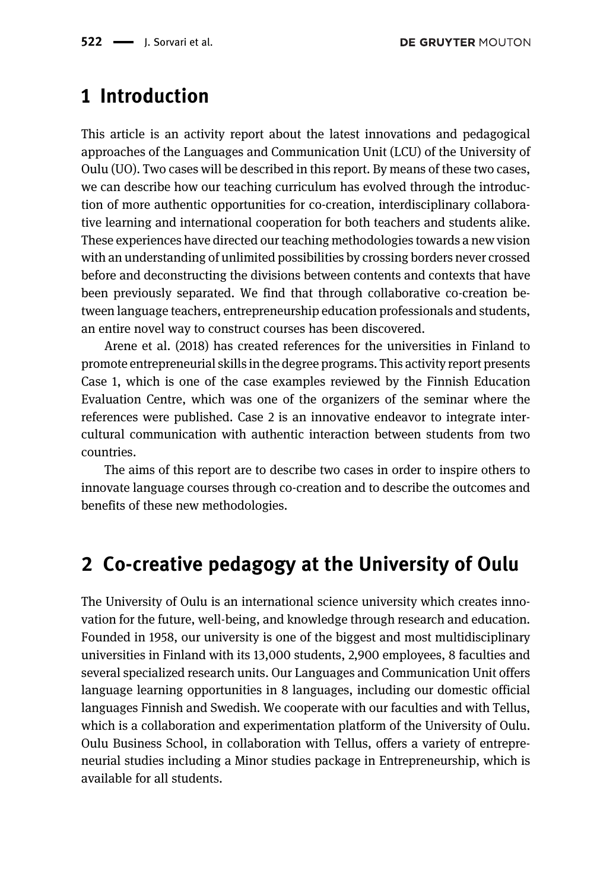### 1 Introduction

This article is an activity report about the latest innovations and pedagogical approaches of the Languages and Communication Unit (LCU) of the University of Oulu (UO). Two cases will be described in this report. By means of these two cases, we can describe how our teaching curriculum has evolved through the introduction of more authentic opportunities for co-creation, interdisciplinary collaborative learning and international cooperation for both teachers and students alike. These experiences have directed our teaching methodologies towards a new vision with an understanding of unlimited possibilities by crossing borders never crossed before and deconstructing the divisions between contents and contexts that have been previously separated. We find that through collaborative co-creation between language teachers, entrepreneurship education professionals and students, an entire novel way to construct courses has been discovered.

[Arene et al. \(2018\)](#page-8-0) has created references for the universities in Finland to promote entrepreneurial skills in the degree programs. This activity report presents Case 1, which is one of the case examples reviewed by the Finnish Education Evaluation Centre, which was one of the organizers of the seminar where the references were published. Case 2 is an innovative endeavor to integrate intercultural communication with authentic interaction between students from two countries.

The aims of this report are to describe two cases in order to inspire others to innovate language courses through co-creation and to describe the outcomes and benefits of these new methodologies.

# 2 Co-creative pedagogy at the University of Oulu

The University of Oulu is an international science university which creates innovation for the future, well-being, and knowledge through research and education. Founded in 1958, our university is one of the biggest and most multidisciplinary universities in Finland with its 13,000 students, 2,900 employees, 8 faculties and several specialized research units. Our Languages and Communication Unit offers language learning opportunities in 8 languages, including our domestic official languages Finnish and Swedish. We cooperate with our faculties and with Tellus, which is a collaboration and experimentation platform of the University of Oulu. Oulu Business School, in collaboration with Tellus, offers a variety of entrepreneurial studies including a Minor studies package in Entrepreneurship, which is available for all students.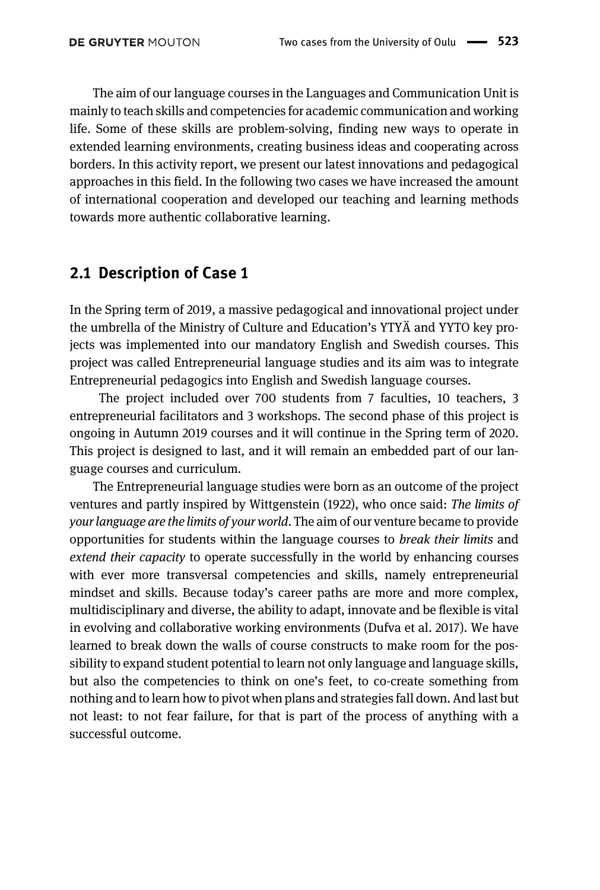The aim of our language courses in the Languages and Communication Unit is mainly to teach skills and competencies for academic communication and working life. Some of these skills are problem-solving, finding new ways to operate in extended learning environments, creating business ideas and cooperating across borders. In this activity report, we present our latest innovations and pedagogical approaches in this field. In the following two cases we have increased the amount of international cooperation and developed our teaching and learning methods towards more authentic collaborative learning.

### 2.1 Description of Case 1

In the Spring term of 2019, a massive pedagogical and innovational project under the umbrella of the Ministry of Culture and Education's YTYÄ and YYTO key projects was implemented into our mandatory English and Swedish courses. This project was called Entrepreneurial language studies and its aim was to integrate Entrepreneurial pedagogics into English and Swedish language courses.

The project included over 700 students from 7 faculties, 10 teachers, 3 entrepreneurial facilitators and 3 workshops. The second phase of this project is ongoing in Autumn 2019 courses and it will continue in the Spring term of 2020. This project is designed to last, and it will remain an embedded part of our language courses and curriculum.

The Entrepreneurial language studies were born as an outcome of the project ventures and partly inspired by [Wittgenstein \(1922\),](#page-8-1) who once said: The limits of your language are the limits of your world. The aim of our venture became to provide opportunities for students within the language courses to break their limits and extend their capacity to operate successfully in the world by enhancing courses with ever more transversal competencies and skills, namely entrepreneurial mindset and skills. Because today's career paths are more and more complex, multidisciplinary and diverse, the ability to adapt, innovate and be flexible is vital in evolving and collaborative working environments ([Dufva et al. 2017\)](#page-8-2). We have learned to break down the walls of course constructs to make room for the possibility to expand student potential to learn not only language and language skills, but also the competencies to think on one's feet, to co-create something from nothing and to learn how to pivot when plans and strategies fall down. And last but not least: to not fear failure, for that is part of the process of anything with a successful outcome.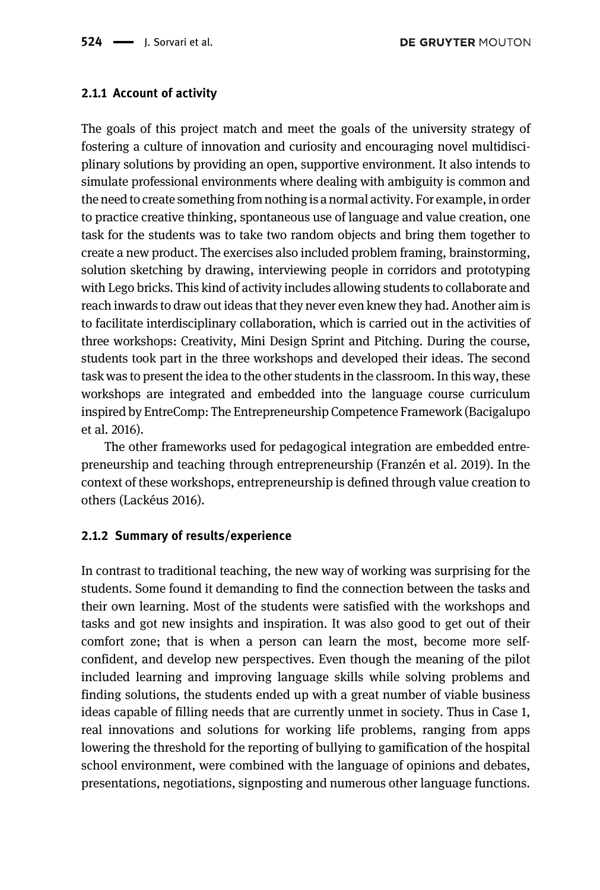#### 2.1.1 Account of activity

The goals of this project match and meet the goals of the university strategy of fostering a culture of innovation and curiosity and encouraging novel multidisciplinary solutions by providing an open, supportive environment. It also intends to simulate professional environments where dealing with ambiguity is common and the need to create something from nothing is a normal activity. For example, in order to practice creative thinking, spontaneous use of language and value creation, one task for the students was to take two random objects and bring them together to create a new product. The exercises also included problem framing, brainstorming, solution sketching by drawing, interviewing people in corridors and prototyping with Lego bricks. This kind of activity includes allowing students to collaborate and reach inwards to draw out ideas that they never even knew they had. Another aim is to facilitate interdisciplinary collaboration, which is carried out in the activities of three workshops: Creativity, Mini Design Sprint and Pitching. During the course, students took part in the three workshops and developed their ideas. The second task was to present the idea to the other students in the classroom. In this way, these workshops are integrated and embedded into the language course curriculum inspired by EntreComp: The Entrepreneurship Competence Framework [\(Bacigalupo](#page-8-3) [et al. 2016\)](#page-8-3).

The other frameworks used for pedagogical integration are embedded entrepreneurship and teaching through entrepreneurship ([Franzén et al. 2019\)](#page-8-4). In the context of these workshops, entrepreneurship is defined through value creation to others [\(Lackéus 2016](#page-8-5)).

#### 2.1.2 Summary of results/experience

In contrast to traditional teaching, the new way of working was surprising for the students. Some found it demanding to find the connection between the tasks and their own learning. Most of the students were satisfied with the workshops and tasks and got new insights and inspiration. It was also good to get out of their comfort zone; that is when a person can learn the most, become more selfconfident, and develop new perspectives. Even though the meaning of the pilot included learning and improving language skills while solving problems and finding solutions, the students ended up with a great number of viable business ideas capable of filling needs that are currently unmet in society. Thus in Case 1, real innovations and solutions for working life problems, ranging from apps lowering the threshold for the reporting of bullying to gamification of the hospital school environment, were combined with the language of opinions and debates, presentations, negotiations, signposting and numerous other language functions.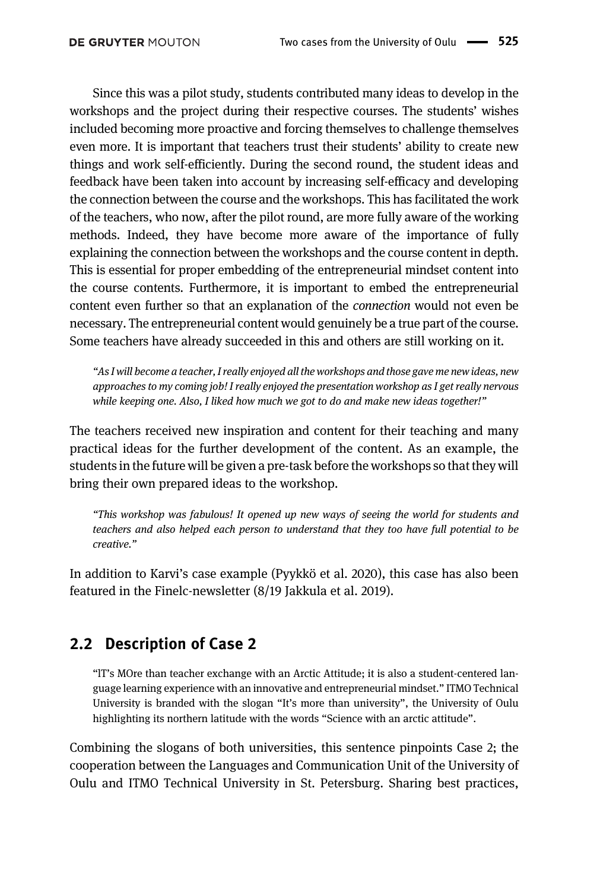Since this was a pilot study, students contributed many ideas to develop in the workshops and the project during their respective courses. The students' wishes included becoming more proactive and forcing themselves to challenge themselves even more. It is important that teachers trust their students' ability to create new things and work self-efficiently. During the second round, the student ideas and feedback have been taken into account by increasing self-efficacy and developing the connection between the course and the workshops. This has facilitated the work of the teachers, who now, after the pilot round, are more fully aware of the working methods. Indeed, they have become more aware of the importance of fully explaining the connection between the workshops and the course content in depth. This is essential for proper embedding of the entrepreneurial mindset content into the course contents. Furthermore, it is important to embed the entrepreneurial content even further so that an explanation of the connection would not even be necessary. The entrepreneurial content would genuinely be a true part of the course. Some teachers have already succeeded in this and others are still working on it.

"As I will become a teacher, I really enjoyed all the workshops and those gave me new ideas, new approaches to my coming job! I really enjoyed the presentation workshop as I get really nervous while keeping one. Also, I liked how much we got to do and make new ideas together!"

The teachers received new inspiration and content for their teaching and many practical ideas for the further development of the content. As an example, the students in the future will be given a pre-task before the workshops so that they will bring their own prepared ideas to the workshop.

"This workshop was fabulous! It opened up new ways of seeing the world for students and teachers and also helped each person to understand that they too have full potential to be creative."

In addition to Karvi's case example ([Pyykkö et al. 2020\)](#page-8-6), this case has also been featured in the Finelc-newsletter (8/19 [Jakkula et al. 2019\)](#page-8-7).

### 2.2 Description of Case 2

"lT's MOre than teacher exchange with an Arctic Attitude; it is also a student-centered language learning experience with an innovative and entrepreneurial mindset." ITMO Technical University is branded with the slogan "It's more than university", the University of Oulu highlighting its northern latitude with the words "Science with an arctic attitude".

Combining the slogans of both universities, this sentence pinpoints Case 2; the cooperation between the Languages and Communication Unit of the University of Oulu and ITMO Technical University in St. Petersburg. Sharing best practices,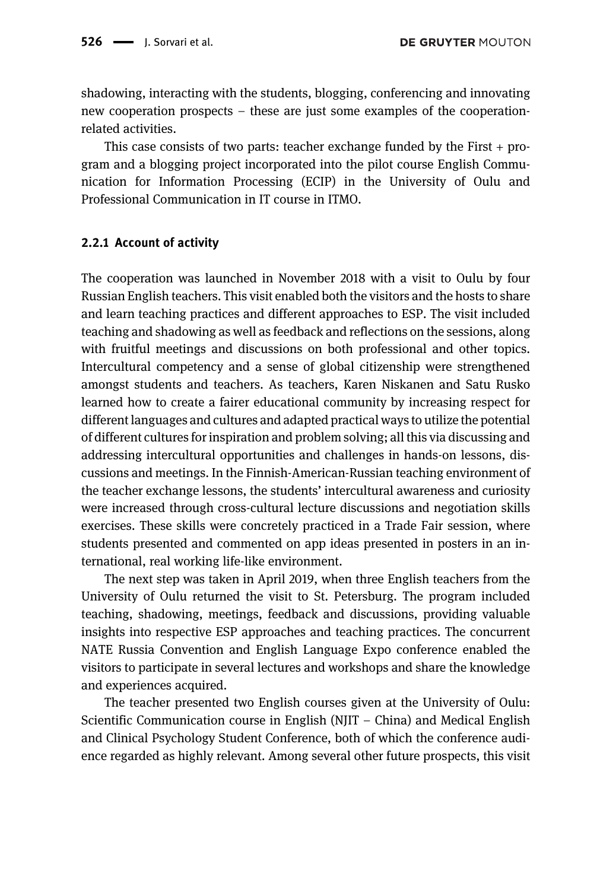shadowing, interacting with the students, blogging, conferencing and innovating new cooperation prospects – these are just some examples of the cooperationrelated activities.

This case consists of two parts: teacher exchange funded by the First  $+$  program and a blogging project incorporated into the pilot course English Communication for Information Processing (ECIP) in the University of Oulu and Professional Communication in IT course in ITMO.

#### 2.2.1 Account of activity

The cooperation was launched in November 2018 with a visit to Oulu by four Russian English teachers. This visit enabled both the visitors and the hosts to share and learn teaching practices and different approaches to ESP. The visit included teaching and shadowing as well as feedback and reflections on the sessions, along with fruitful meetings and discussions on both professional and other topics. Intercultural competency and a sense of global citizenship were strengthened amongst students and teachers. As teachers, Karen Niskanen and Satu Rusko learned how to create a fairer educational community by increasing respect for different languages and cultures and adapted practical ways to utilize the potential of different cultures for inspiration and problem solving; all this via discussing and addressing intercultural opportunities and challenges in hands-on lessons, discussions and meetings. In the Finnish-American-Russian teaching environment of the teacher exchange lessons, the students' intercultural awareness and curiosity were increased through cross-cultural lecture discussions and negotiation skills exercises. These skills were concretely practiced in a Trade Fair session, where students presented and commented on app ideas presented in posters in an international, real working life-like environment.

The next step was taken in April 2019, when three English teachers from the University of Oulu returned the visit to St. Petersburg. The program included teaching, shadowing, meetings, feedback and discussions, providing valuable insights into respective ESP approaches and teaching practices. The concurrent NATE Russia Convention and English Language Expo conference enabled the visitors to participate in several lectures and workshops and share the knowledge and experiences acquired.

The teacher presented two English courses given at the University of Oulu: Scientific Communication course in English (NJIT – China) and Medical English and Clinical Psychology Student Conference, both of which the conference audience regarded as highly relevant. Among several other future prospects, this visit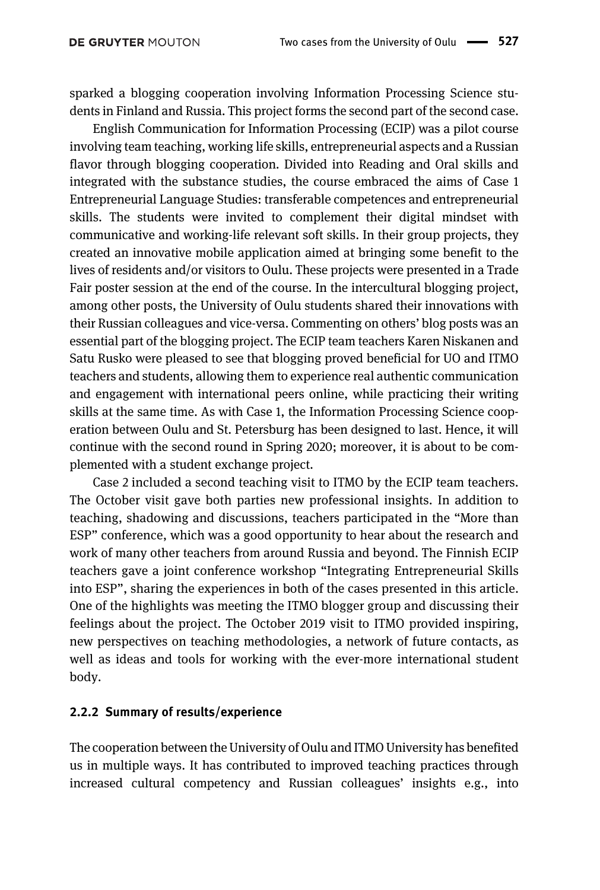sparked a blogging cooperation involving Information Processing Science students in Finland and Russia. This project forms the second part of the second case.

English Communication for Information Processing (ECIP) was a pilot course involving team teaching, working life skills, entrepreneurial aspects and a Russian flavor through blogging cooperation. Divided into Reading and Oral skills and integrated with the substance studies, the course embraced the aims of Case 1 Entrepreneurial Language Studies: transferable competences and entrepreneurial skills. The students were invited to complement their digital mindset with communicative and working-life relevant soft skills. In their group projects, they created an innovative mobile application aimed at bringing some benefit to the lives of residents and/or visitors to Oulu. These projects were presented in a Trade Fair poster session at the end of the course. In the intercultural blogging project, among other posts, the University of Oulu students shared their innovations with their Russian colleagues and vice-versa. Commenting on others' blog posts was an essential part of the blogging project. The ECIP team teachers Karen Niskanen and Satu Rusko were pleased to see that blogging proved beneficial for UO and ITMO teachers and students, allowing them to experience real authentic communication and engagement with international peers online, while practicing their writing skills at the same time. As with Case 1, the Information Processing Science cooperation between Oulu and St. Petersburg has been designed to last. Hence, it will continue with the second round in Spring 2020; moreover, it is about to be complemented with a student exchange project.

Case 2 included a second teaching visit to ITMO by the ECIP team teachers. The October visit gave both parties new professional insights. In addition to teaching, shadowing and discussions, teachers participated in the "More than ESP" conference, which was a good opportunity to hear about the research and work of many other teachers from around Russia and beyond. The Finnish ECIP teachers gave a joint conference workshop "Integrating Entrepreneurial Skills into ESP", sharing the experiences in both of the cases presented in this article. One of the highlights was meeting the ITMO blogger group and discussing their feelings about the project. The October 2019 visit to ITMO provided inspiring, new perspectives on teaching methodologies, a network of future contacts, as well as ideas and tools for working with the ever-more international student body.

#### 2.2.2 Summary of results/experience

The cooperation between the University of Oulu and ITMO University has benefited us in multiple ways. It has contributed to improved teaching practices through increased cultural competency and Russian colleagues' insights e.g., into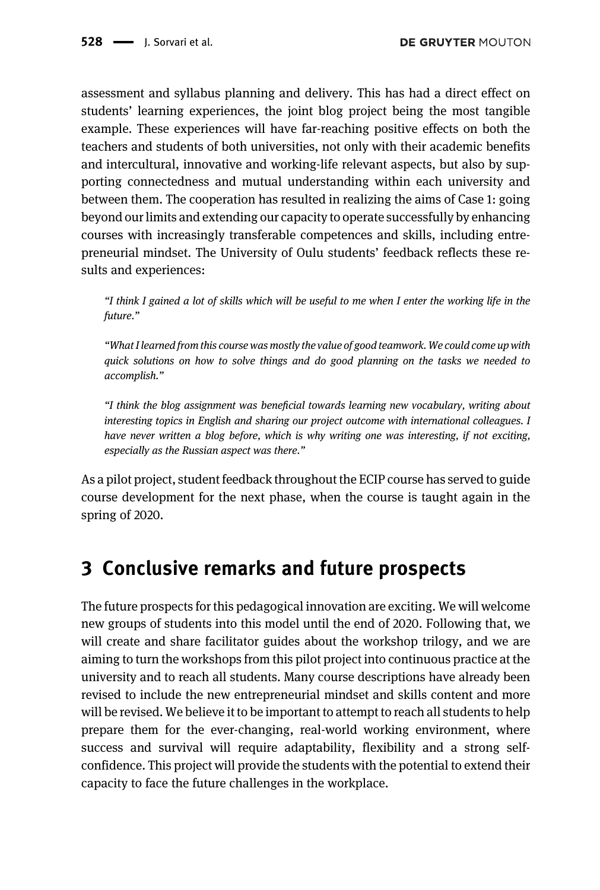assessment and syllabus planning and delivery. This has had a direct effect on students' learning experiences, the joint blog project being the most tangible example. These experiences will have far-reaching positive effects on both the teachers and students of both universities, not only with their academic benefits and intercultural, innovative and working-life relevant aspects, but also by supporting connectedness and mutual understanding within each university and between them. The cooperation has resulted in realizing the aims of Case 1: going beyond our limits and extending our capacity to operate successfully by enhancing courses with increasingly transferable competences and skills, including entrepreneurial mindset. The University of Oulu students' feedback reflects these results and experiences:

"I think I gained a lot of skills which will be useful to me when I enter the working life in the future."

"What I learned from this course was mostly the value of good teamwork. We could come up with quick solutions on how to solve things and do good planning on the tasks we needed to accomplish."

"I think the blog assignment was beneficial towards learning new vocabulary, writing about interesting topics in English and sharing our project outcome with international colleagues. I have never written a blog before, which is why writing one was interesting, if not exciting, especially as the Russian aspect was there."

As a pilot project, student feedback throughout the ECIP course has served to guide course development for the next phase, when the course is taught again in the spring of 2020.

# 3 Conclusive remarks and future prospects

The future prospects for this pedagogical innovation are exciting. We will welcome new groups of students into this model until the end of 2020. Following that, we will create and share facilitator guides about the workshop trilogy, and we are aiming to turn the workshops from this pilot project into continuous practice at the university and to reach all students. Many course descriptions have already been revised to include the new entrepreneurial mindset and skills content and more will be revised. We believe it to be important to attempt to reach all students to help prepare them for the ever-changing, real-world working environment, where success and survival will require adaptability, flexibility and a strong selfconfidence. This project will provide the students with the potential to extend their capacity to face the future challenges in the workplace.